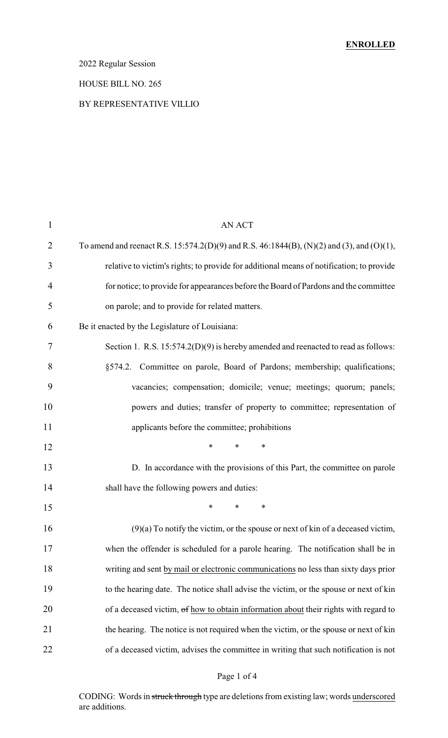## 2022 Regular Session

### HOUSE BILL NO. 265

### BY REPRESENTATIVE VILLIO

| AN ACT                                                                                    |
|-------------------------------------------------------------------------------------------|
| To amend and reenact R.S. 15:574.2(D)(9) and R.S. 46:1844(B), (N)(2) and (3), and (O)(1), |
| relative to victim's rights; to provide for additional means of notification; to provide  |
| for notice; to provide for appearances before the Board of Pardons and the committee      |
| on parole; and to provide for related matters.                                            |
| Be it enacted by the Legislature of Louisiana:                                            |
| Section 1. R.S. $15:574.2(D)(9)$ is hereby amended and reenacted to read as follows:      |
| §574.2. Committee on parole, Board of Pardons; membership; qualifications;                |
| vacancies; compensation; domicile; venue; meetings; quorum; panels;                       |
| powers and duties; transfer of property to committee; representation of                   |
| applicants before the committee; prohibitions                                             |
| $\ast$<br>$\ast$<br>$\ast$                                                                |
| D. In accordance with the provisions of this Part, the committee on parole                |
| shall have the following powers and duties:                                               |
| *<br>$\ast$<br>$\ast$                                                                     |
| (9)(a) To notify the victim, or the spouse or next of kin of a deceased victim,           |
| when the offender is scheduled for a parole hearing. The notification shall be in         |
| writing and sent by mail or electronic communications no less than sixty days prior       |
| to the hearing date. The notice shall advise the victim, or the spouse or next of kin     |
| of a deceased victim, of how to obtain information about their rights with regard to      |
| the hearing. The notice is not required when the victim, or the spouse or next of kin     |
| of a deceased victim, advises the committee in writing that such notification is not      |
|                                                                                           |

## Page 1 of 4

CODING: Words in struck through type are deletions from existing law; words underscored are additions.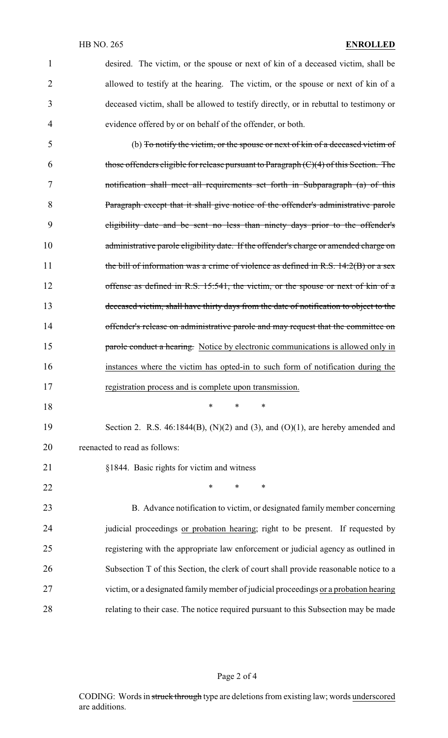|   | desired. The victim, or the spouse or next of kin of a deceased victim, shall be      |
|---|---------------------------------------------------------------------------------------|
|   | allowed to testify at the hearing. The victim, or the spouse or next of kin of a      |
| 3 | deceased victim, shall be allowed to testify directly, or in rebuttal to testimony or |
| 4 | evidence offered by or on behalf of the offender, or both.                            |

 (b) To notify the victim, or the spouse or next of kin of a deceased victim of 6 those offenders eligible for release pursuant to Paragraph  $(C)(4)$  of this Section. The notification shall meet all requirements set forth in Subparagraph (a) of this Paragraph except that it shall give notice of the offender's administrative parole eligibility date and be sent no less than ninety days prior to the offender's 10 administrative parole eligibility date. If the offender's charge or amended charge on 11 the bill of information was a crime of violence as defined in R.S.  $14:2(B)$  or a sex offense as defined in R.S. 15:541, the victim, or the spouse or next of kin of a deceased victim, shall have thirty days from the date of notification to object to the 14 offender's release on administrative parole and may request that the committee on **parole conduct a hearing.** Notice by electronic communications is allowed only in instances where the victim has opted-in to such form of notification during the registration process and is complete upon transmission.

\* \* \*

19 Section 2. R.S. 46:1844(B), (N)(2) and (3), and (O)(1), are hereby amended and reenacted to read as follows:

§1844. Basic rights for victim and witness

22 \* \* \* \*

 B. Advance notification to victim, or designated family member concerning judicial proceedings or probation hearing; right to be present. If requested by registering with the appropriate law enforcement or judicial agency as outlined in Subsection T of this Section, the clerk of court shall provide reasonable notice to a victim, or a designated familymember of judicial proceedings or a probation hearing relating to their case. The notice required pursuant to this Subsection may be made

#### Page 2 of 4

CODING: Words in struck through type are deletions from existing law; words underscored are additions.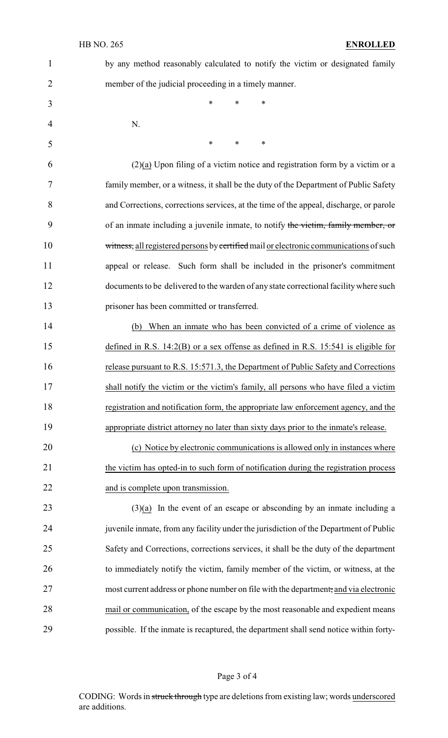| $\mathbf{1}$   | by any method reasonably calculated to notify the victim or designated family          |
|----------------|----------------------------------------------------------------------------------------|
| $\overline{2}$ | member of the judicial proceeding in a timely manner.                                  |
| 3              | $\ast$<br>$\ast$<br>*                                                                  |
| $\overline{4}$ | N.                                                                                     |
| 5              | $\ast$<br>$\ast$<br>$\ast$                                                             |
| 6              | $(2)(a)$ Upon filing of a victim notice and registration form by a victim or a         |
| 7              | family member, or a witness, it shall be the duty of the Department of Public Safety   |
| 8              | and Corrections, corrections services, at the time of the appeal, discharge, or parole |
| 9              | of an inmate including a juvenile inmate, to notify the victim, family member, or      |
| 10             | witness, all registered persons by certified mail or electronic communications of such |
| 11             | appeal or release. Such form shall be included in the prisoner's commitment            |
| 12             | documents to be delivered to the warden of any state correctional facility where such  |
| 13             | prisoner has been committed or transferred.                                            |
| 14             | When an inmate who has been convicted of a crime of violence as<br>(b)                 |
| 15             | defined in R.S. $14:2(B)$ or a sex offense as defined in R.S. 15:541 is eligible for   |

 release pursuant to R.S. 15:571.3, the Department of Public Safety and Corrections shall notify the victim or the victim's family, all persons who have filed a victim registration and notification form, the appropriate law enforcement agency, and the appropriate district attorney no later than sixty days prior to the inmate's release.

20 (c) Notice by electronic communications is allowed only in instances where 21 the victim has opted-in to such form of notification during the registration process 22 and is complete upon transmission.

 $(3)(a)$  In the event of an escape or absconding by an inmate including a 24 juvenile inmate, from any facility under the jurisdiction of the Department of Public 25 Safety and Corrections, corrections services, it shall be the duty of the department 26 to immediately notify the victim, family member of the victim, or witness, at the 27 most current address or phone number on file with the department, and via electronic 28 mail or communication, of the escape by the most reasonable and expedient means 29 possible. If the inmate is recaptured, the department shall send notice within forty-

#### Page 3 of 4

CODING: Words in struck through type are deletions from existing law; words underscored are additions.